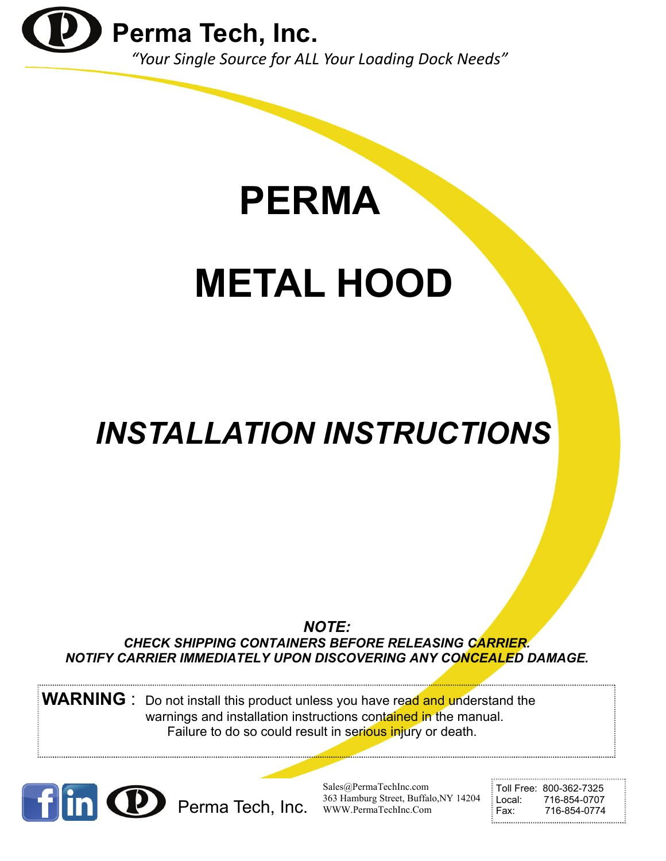

**PERMA**

# **METAL HOOD**

## *INSTALLATION INSTRUCTIONS*

*NOTE: CHECK SHIPPING CONTAINERS BEFORE RELEASING CARRIER. NOTIFY CARRIER IMMEDIATELY UPON DISCOVERING ANY CONCEALED DAMAGE.* 

**WARNING** : Do not install this product unless you have read and understand the warnings and installation instructions contained in the manual. Failure to do so could result in serious injury or death.



Sales@PermaTechInc.com 363 Hamburg Street, Buffalo,NY 14204 Perma Tech, Inc. 363 Hamburg Street, Buffalo, NY 14204 Local: 716-854-0707<br>Fax: 716-854-0774

Toll Free: 800-362-7325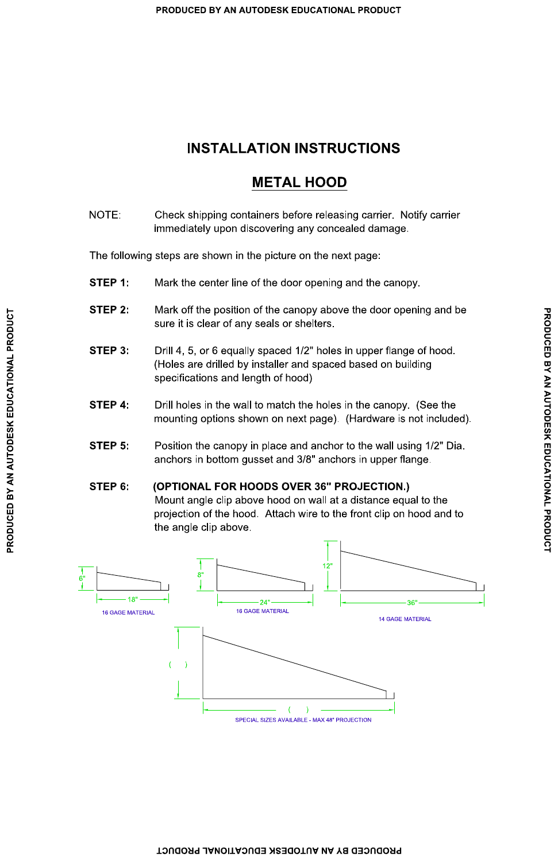### **INSTALLATION INSTRUCTIONS**

### **METAL HOOD**

NOTE: Check shipping containers before releasing carrier. Notify carrier immediately upon discovering any concealed damage.

The following steps are shown in the picture on the next page:

- Mark the center line of the door opening and the canopy. STEP 1:
- STEP 2: Mark off the position of the canopy above the door opening and be sure it is clear of any seals or shelters.
- Drill 4, 5, or 6 equally spaced 1/2" holes in upper flange of hood. STEP 3: (Holes are drilled by installer and spaced based on building specifications and length of hood)
- Drill holes in the wall to match the holes in the canopy. (See the STEP 4: mounting options shown on next page). (Hardware is not included).
- Position the canopy in place and anchor to the wall using 1/2" Dia. STEP 5: anchors in bottom gusset and 3/8" anchors in upper flange.

#### (OPTIONAL FOR HOODS OVER 36" PROJECTION.) STEP 6:

Mount angle clip above hood on wall at a distance equal to the projection of the hood. Attach wire to the front clip on hood and to the angle clip above.

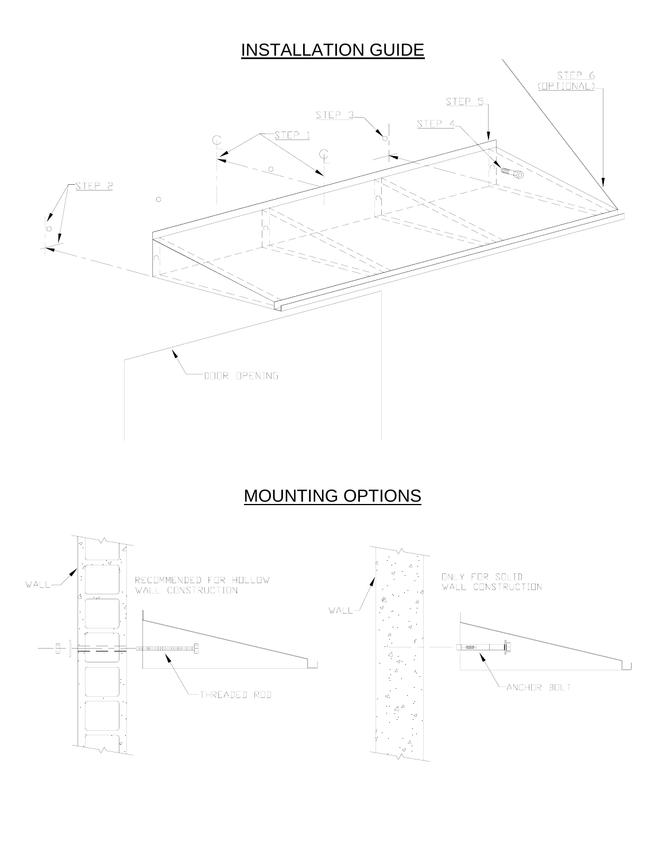### INSTALLATION GUIDE



### MOUNTING OPTIONS